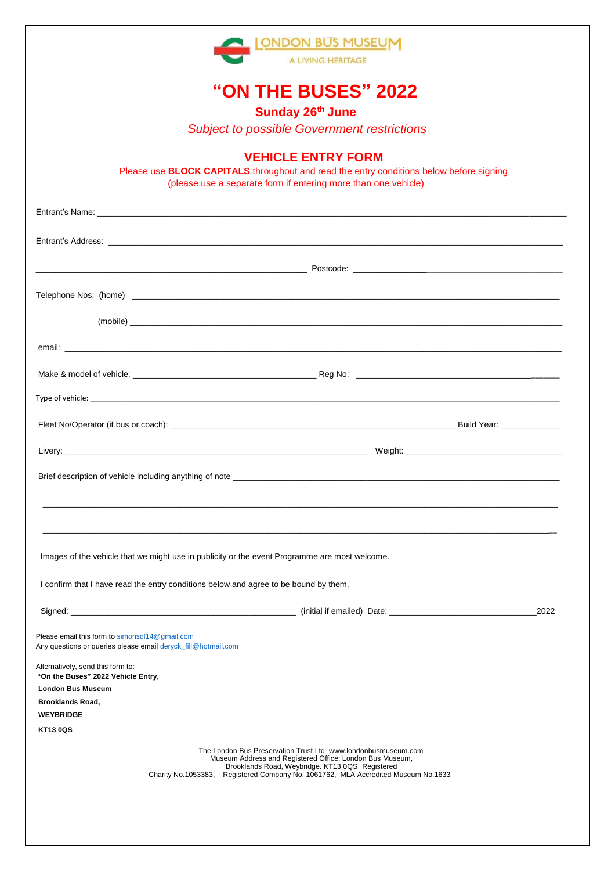

# **"ON THE BUSES" 2022**

 **Sunday 26th June**

*Subject to possible Government restrictions*

#### **VEHICLE ENTRY FORM**

Please use **BLOCK CAPITALS** throughout and read the entry conditions below before signing (please use a separate form if entering more than one vehicle)

| Images of the vehicle that we might use in publicity or the event Programme are most welcome.                   |                                                                                                                                                                                                                                               |
|-----------------------------------------------------------------------------------------------------------------|-----------------------------------------------------------------------------------------------------------------------------------------------------------------------------------------------------------------------------------------------|
| I confirm that I have read the entry conditions below and agree to be bound by them.                            |                                                                                                                                                                                                                                               |
|                                                                                                                 | 2022                                                                                                                                                                                                                                          |
| Please email this form to simonsdl14@gmail.com<br>Any questions or queries please email deryck_fill@hotmail.com |                                                                                                                                                                                                                                               |
| Alternatively, send this form to:<br>"On the Buses" 2022 Vehicle Entry,                                         |                                                                                                                                                                                                                                               |
| <b>London Bus Museum</b>                                                                                        |                                                                                                                                                                                                                                               |
| <b>Brooklands Road.</b>                                                                                         |                                                                                                                                                                                                                                               |
| <b>WEYBRIDGE</b>                                                                                                |                                                                                                                                                                                                                                               |
| <b>KT13 0QS</b>                                                                                                 |                                                                                                                                                                                                                                               |
| Charity No.1053383,                                                                                             | The London Bus Preservation Trust Ltd www.londonbusmuseum.com<br>Museum Address and Registered Office: London Bus Museum,<br>Brooklands Road, Weybridge. KT13 0QS Registered<br>Registered Company No. 1061762, MLA Accredited Museum No.1633 |